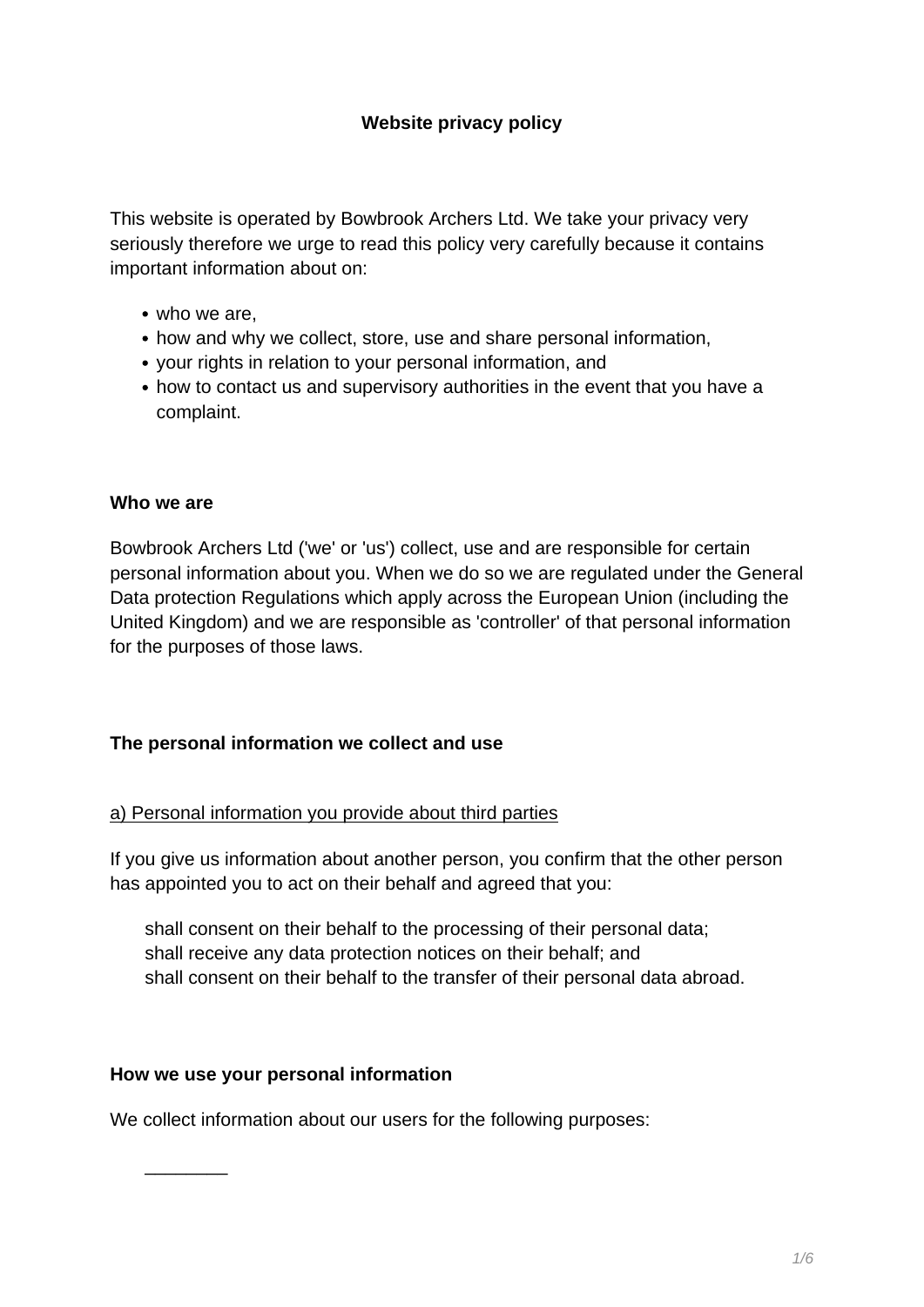This website is operated by Bowbrook Archers Ltd. We take your privacy very seriously therefore we urge to read this policy very carefully because it contains important information about on:

- who we are,
- how and why we collect, store, use and share personal information,
- your rights in relation to your personal information, and
- how to contact us and supervisory authorities in the event that you have a complaint.

#### **Who we are**

Bowbrook Archers Ltd ('we' or 'us') collect, use and are responsible for certain personal information about you. When we do so we are regulated under the General Data protection Regulations which apply across the European Union (including the United Kingdom) and we are responsible as 'controller' of that personal information for the purposes of those laws.

#### **The personal information we collect and use**

#### a) Personal information you provide about third parties

If you give us information about another person, you confirm that the other person has appointed you to act on their behalf and agreed that you:

shall consent on their behalf to the processing of their personal data; shall receive any data protection notices on their behalf; and shall consent on their behalf to the transfer of their personal data abroad.

#### **How we use your personal information**

We collect information about our users for the following purposes:

 $\overline{\phantom{a}}$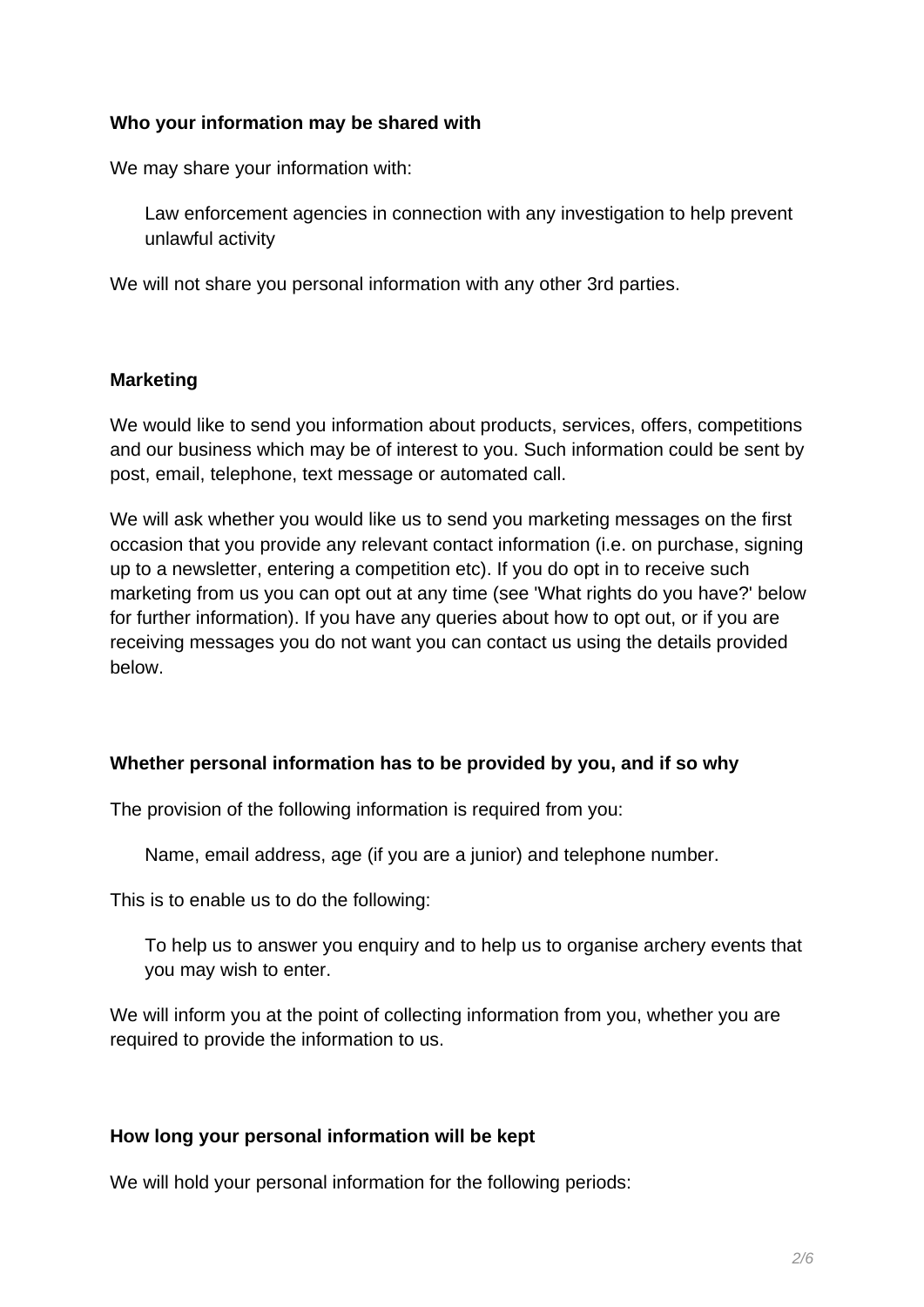# **Who your information may be shared with**

We may share your information with:

Law enforcement agencies in connection with any investigation to help prevent unlawful activity

We will not share you personal information with any other 3rd parties.

#### **Marketing**

We would like to send you information about products, services, offers, competitions and our business which may be of interest to you. Such information could be sent by post, email, telephone, text message or automated call.

We will ask whether you would like us to send you marketing messages on the first occasion that you provide any relevant contact information (i.e. on purchase, signing up to a newsletter, entering a competition etc). If you do opt in to receive such marketing from us you can opt out at any time (see 'What rights do you have?' below for further information). If you have any queries about how to opt out, or if you are receiving messages you do not want you can contact us using the details provided below.

#### **Whether personal information has to be provided by you, and if so why**

The provision of the following information is required from you:

Name, email address, age (if you are a junior) and telephone number.

This is to enable us to do the following:

To help us to answer you enquiry and to help us to organise archery events that you may wish to enter.

We will inform you at the point of collecting information from you, whether you are required to provide the information to us.

#### **How long your personal information will be kept**

We will hold your personal information for the following periods: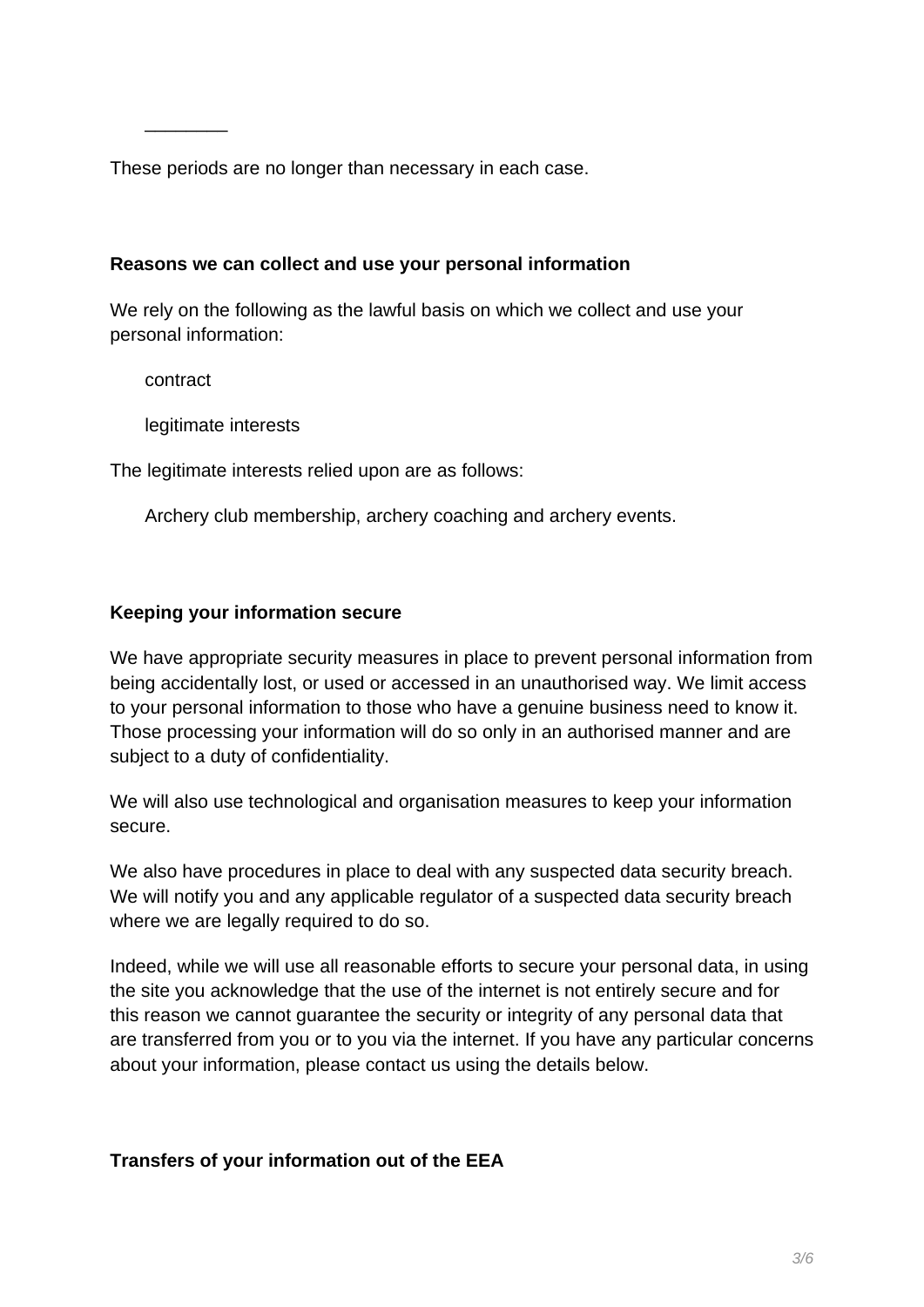These periods are no longer than necessary in each case.

### **Reasons we can collect and use your personal information**

We rely on the following as the lawful basis on which we collect and use your personal information:

contract

\_\_\_\_\_\_\_\_

legitimate interests

The legitimate interests relied upon are as follows:

Archery club membership, archery coaching and archery events.

# **Keeping your information secure**

We have appropriate security measures in place to prevent personal information from being accidentally lost, or used or accessed in an unauthorised way. We limit access to your personal information to those who have a genuine business need to know it. Those processing your information will do so only in an authorised manner and are subject to a duty of confidentiality.

We will also use technological and organisation measures to keep your information secure.

We also have procedures in place to deal with any suspected data security breach. We will notify you and any applicable regulator of a suspected data security breach where we are legally required to do so.

Indeed, while we will use all reasonable efforts to secure your personal data, in using the site you acknowledge that the use of the internet is not entirely secure and for this reason we cannot guarantee the security or integrity of any personal data that are transferred from you or to you via the internet. If you have any particular concerns about your information, please contact us using the details below.

# **Transfers of your information out of the EEA**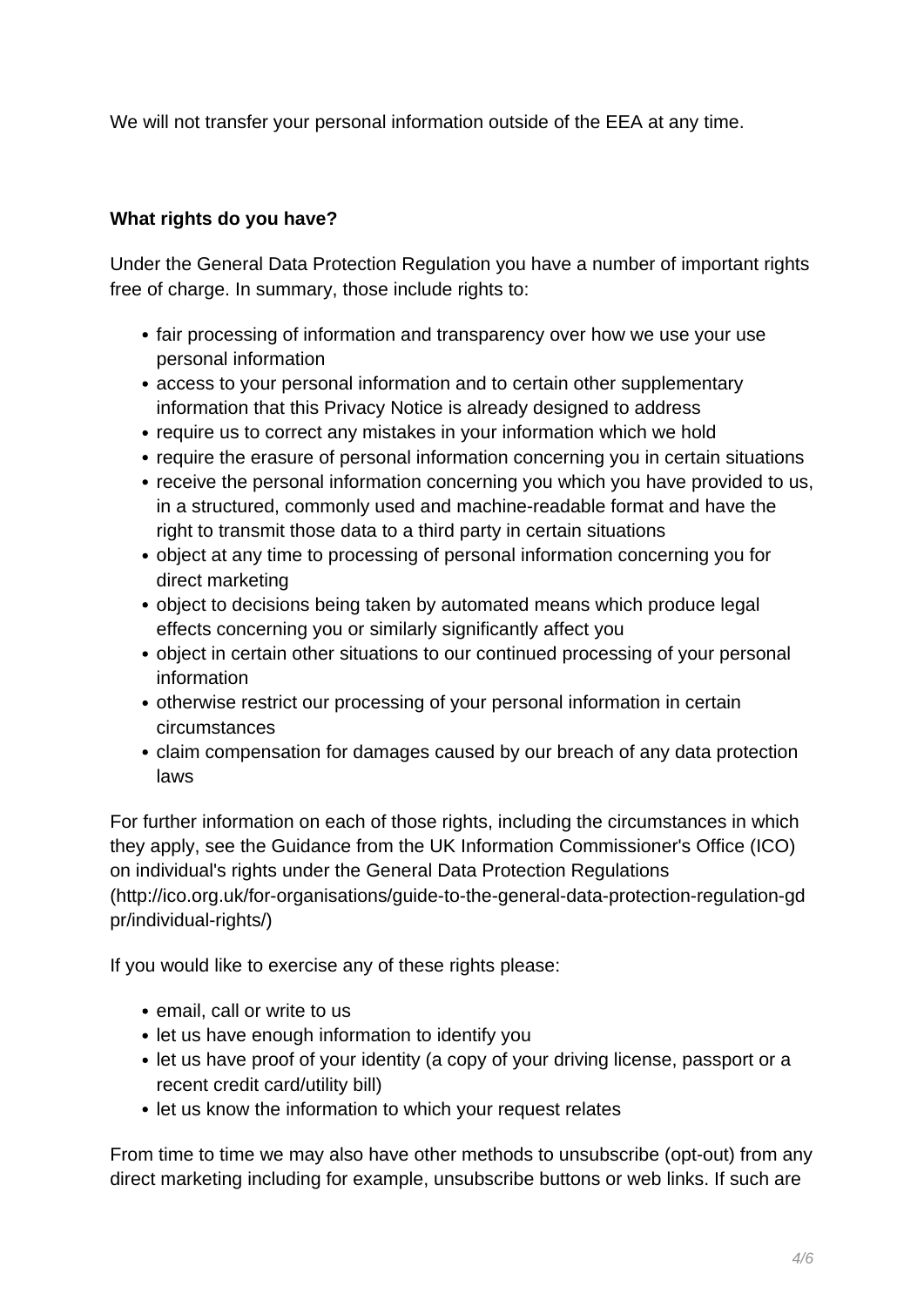We will not transfer your personal information outside of the EEA at any time.

# **What rights do you have?**

Under the General Data Protection Regulation you have a number of important rights free of charge. In summary, those include rights to:

- fair processing of information and transparency over how we use your use personal information
- access to your personal information and to certain other supplementary information that this Privacy Notice is already designed to address
- require us to correct any mistakes in your information which we hold
- require the erasure of personal information concerning you in certain situations
- receive the personal information concerning you which you have provided to us, in a structured, commonly used and machine-readable format and have the right to transmit those data to a third party in certain situations
- object at any time to processing of personal information concerning you for direct marketing
- object to decisions being taken by automated means which produce legal effects concerning you or similarly significantly affect you
- object in certain other situations to our continued processing of your personal information
- otherwise restrict our processing of your personal information in certain circumstances
- claim compensation for damages caused by our breach of any data protection laws

For further information on each of those rights, including the circumstances in which they apply, see the Guidance from the UK Information Commissioner's Office (ICO) on individual's rights under the General Data Protection Regulations (http://ico.org.uk/for-organisations/guide-to-the-general-data-protection-regulation-gd pr/individual-rights/)

If you would like to exercise any of these rights please:

- email, call or write to us
- let us have enough information to identify you
- let us have proof of your identity (a copy of your driving license, passport or a recent credit card/utility bill)
- let us know the information to which your request relates

From time to time we may also have other methods to unsubscribe (opt-out) from any direct marketing including for example, unsubscribe buttons or web links. If such are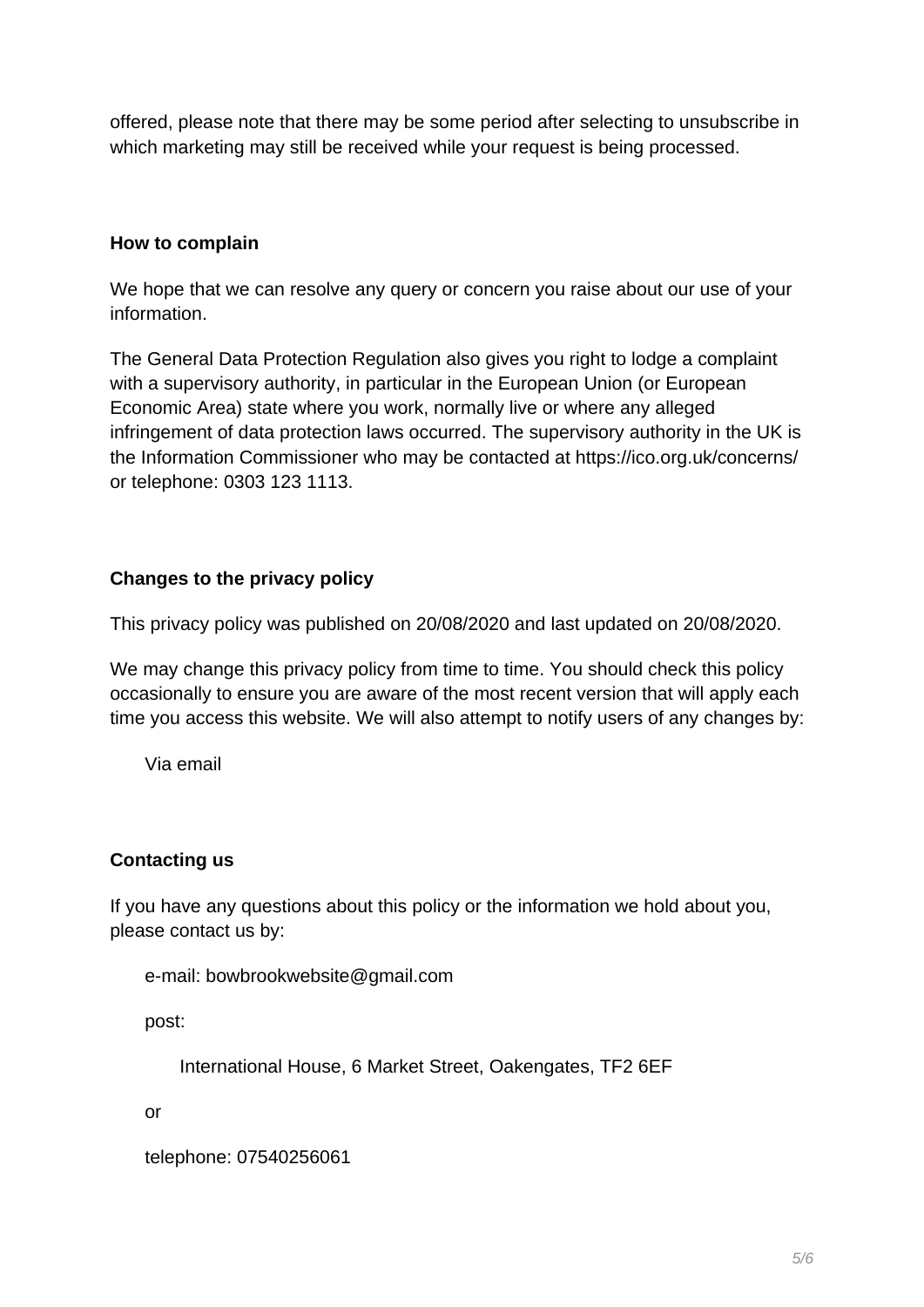offered, please note that there may be some period after selecting to unsubscribe in which marketing may still be received while your request is being processed.

# **How to complain**

We hope that we can resolve any query or concern you raise about our use of your information.

The General Data Protection Regulation also gives you right to lodge a complaint with a supervisory authority, in particular in the European Union (or European Economic Area) state where you work, normally live or where any alleged infringement of data protection laws occurred. The supervisory authority in the UK is the Information Commissioner who may be contacted at https://ico.org.uk/concerns/ or telephone: 0303 123 1113.

# **Changes to the privacy policy**

This privacy policy was published on 20/08/2020 and last updated on 20/08/2020.

We may change this privacy policy from time to time. You should check this policy occasionally to ensure you are aware of the most recent version that will apply each time you access this website. We will also attempt to notify users of any changes by:

Via email

# **Contacting us**

If you have any questions about this policy or the information we hold about you, please contact us by:

```
e-mail: bowbrookwebsite@gmail.com
```
post:

International House, 6 Market Street, Oakengates, TF2 6EF

or

telephone: 07540256061